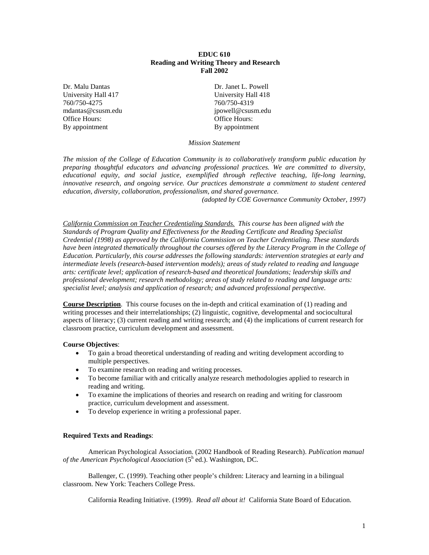# **EDUC 610 Reading and Writing Theory and Research Fall 2002**

Dr. Malu Dantas Dr. Janet L. Powell University Hall 417 University Hall 418 760/750-4275 760/750-4319 mdantas@csusm.edu jpowell@csusm.edu Office Hours: Office Hours: By appointment By appointment

*Mission Statement*

*The mission of the College of Education Community is to collaboratively transform public education by preparing thoughtful educators and advancing professional practices. We are committed to diversity, educational equity, and social justice, exemplified through reflective teaching, life-long learning, innovative research, and ongoing service. Our practices demonstrate a commitment to student centered education, diversity, collaboration, professionalism, and shared governance.*

*(adopted by COE Governance Community October, 1997)*

*California Commission on Teacher Credentialing Standards. This course has been aligned with the Standards of Program Quality and Effectiveness for the Reading Certificate and Reading Specialist Credential (1998) as approved by the California Commission on Teacher Credentialing. These standards have been integrated thematically throughout the courses offered by the Literacy Program in the College of Education. Particularly, this course addresses the following standards: intervention strategies at early and intermediate levels (research-based intervention models); areas of study related to reading and language arts: certificate level; application of research-based and theoretical foundations; leadership skills and professional development; research methodology; areas of study related to reading and language arts: specialist level; analysis and application of research; and advanced professional perspective.*

**Course Description**. This course focuses on the in-depth and critical examination of (1) reading and writing processes and their interrelationships; (2) linguistic, cognitive, developmental and sociocultural aspects of literacy; (3) current reading and writing research; and (4) the implications of current research for classroom practice, curriculum development and assessment.

# **Course Objectives**:

- To gain a broad theoretical understanding of reading and writing development according to multiple perspectives.
- To examine research on reading and writing processes.
- To become familiar with and critically analyze research methodologies applied to research in reading and writing.
- To examine the implications of theories and research on reading and writing for classroom practice, curriculum development and assessment.
- To develop experience in writing a professional paper.

# **Required Texts and Readings**:

American Psychological Association. (2002 Handbook of Reading Research). *Publication manual of the American Psychological Association* (5<sup>h</sup> ed.). Washington, DC.

Ballenger, C. (1999). Teaching other people's children: Literacy and learning in a bilingual classroom. New York: Teachers College Press.

California Reading Initiative. (1999). *Read all about it!* California State Board of Education.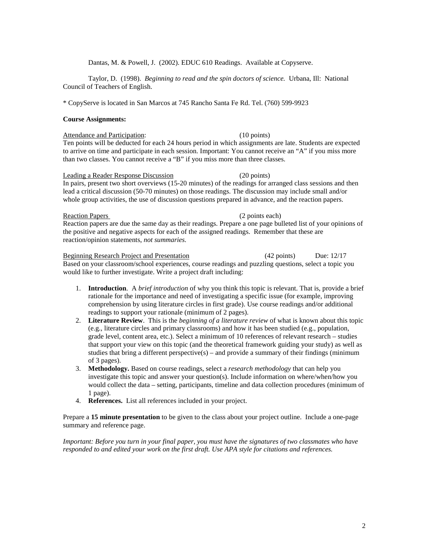# Dantas, M. & Powell, J. (2002). EDUC 610 Readings. Available at Copyserve.

Taylor, D. (1998). *Beginning to read and the spin doctors of science.* Urbana, Ill: National Council of Teachers of English.

\* CopyServe is located in San Marcos at 745 Rancho Santa Fe Rd. Tel. (760) 599-9923

# **Course Assignments:**

Attendance and Participation: (10 points) Ten points will be deducted for each 24 hours period in which assignments are late. Students are expected to arrive on time and participate in each session. Important: You cannot receive an "A" if you miss more than two classes. You cannot receive a "B" if you miss more than three classes.

#### Leading a Reader Response Discussion (20 points)

In pairs, present two short overviews (15-20 minutes) of the readings for arranged class sessions and then lead a critical discussion (50-70 minutes) on those readings. The discussion may include small and/or whole group activities, the use of discussion questions prepared in advance, and the reaction papers.

### Reaction Papers (2 points each)

Reaction papers are due the same day as their readings. Prepare a one page bulleted list of your opinions of the positive and negative aspects for each of the assigned readings. Remember that these are reaction/opinion statements, *not summaries.*

# Beginning Research Project and Presentation (42 points) Due: 12/17

Based on your classroom/school experiences, course readings and puzzling questions, select a topic you would like to further investigate. Write a project draft including:

- 1. **Introduction**. A *brief introduction* of why you think this topic is relevant. That is, provide a brief rationale for the importance and need of investigating a specific issue (for example, improving comprehension by using literature circles in first grade). Use course readings and/or additional readings to support your rationale (minimum of 2 pages).
- 2. **Literature Review**. This is the *beginning of a literature review* of what is known about this topic (e.g., literature circles and primary classrooms) and how it has been studied (e.g., population, grade level, content area, etc.). Select a minimum of 10 references of relevant research – studies that support your view on this topic (and the theoretical framework guiding your study) as well as studies that bring a different perspective(s) – and provide a summary of their findings (minimum of 3 pages).
- 3. **Methodology.** Based on course readings, select a *research methodology* that can help you investigate this topic and answer your question(s). Include information on where/when/how you would collect the data – setting, participants, timeline and data collection procedures (minimum of 1 page).
- 4. **References.** List all references included in your project.

Prepare a **15 minute presentation** to be given to the class about your project outline. Include a one-page summary and reference page.

*Important: Before you turn in your final paper, you must have the signatures of two classmates who have responded to and edited your work on the first draft. Use APA style for citations and references.*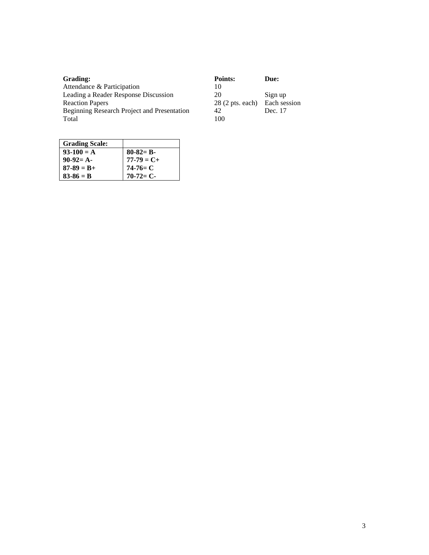| Grading:                                    | Points:                   | Due:         |
|---------------------------------------------|---------------------------|--------------|
| Attendance & Participation                  | 10                        |              |
| Leading a Reader Response Discussion        | 20                        | Sign up      |
| <b>Reaction Papers</b>                      | $28(2 \text{ pts. each})$ | Each session |
| Beginning Research Project and Presentation | 42                        | Dec. 17      |
| Total                                       | 100                       |              |

| <b>Grading Scale:</b> |               |
|-----------------------|---------------|
| $93-100 = A$          | $80-82= B-$   |
| $90-92= A-$           | $77-79 = C +$ |
| $87 - 89 = B +$       | $74-76= C$    |
| $83 - 86 = B$         | $70-72=C-$    |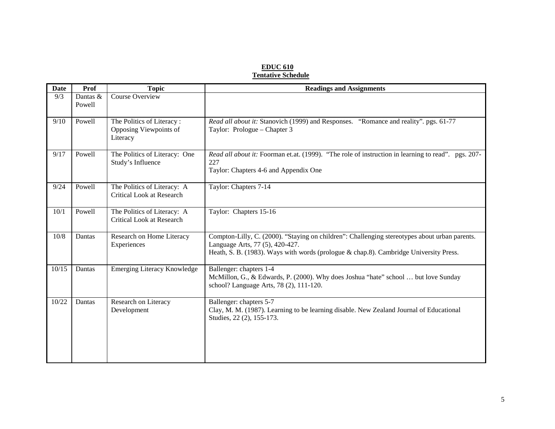# **EDUC 610 Tentative Schedule**

| <b>Date</b> | Prof               | <b>Topic</b>                                                    | <b>Readings and Assignments</b>                                                                                                                                                                                           |
|-------------|--------------------|-----------------------------------------------------------------|---------------------------------------------------------------------------------------------------------------------------------------------------------------------------------------------------------------------------|
| 9/3         | Dantas &<br>Powell | <b>Course Overview</b>                                          |                                                                                                                                                                                                                           |
| 9/10        | Powell             | The Politics of Literacy:<br>Opposing Viewpoints of<br>Literacy | Read all about it: Stanovich (1999) and Responses. "Romance and reality". pgs. 61-77<br>Taylor: Prologue - Chapter 3                                                                                                      |
| 9/17        | Powell             | The Politics of Literacy: One<br>Study's Influence              | Read all about it: Foorman et.at. (1999). "The role of instruction in learning to read". pgs. 207-<br>227<br>Taylor: Chapters 4-6 and Appendix One                                                                        |
| 9/24        | Powell             | The Politics of Literacy: A<br>Critical Look at Research        | Taylor: Chapters 7-14                                                                                                                                                                                                     |
| 10/1        | Powell             | The Politics of Literacy: A<br><b>Critical Look at Research</b> | Taylor: Chapters 15-16                                                                                                                                                                                                    |
| $10/8$      | Dantas             | Research on Home Literacy<br>Experiences                        | Compton-Lilly, C. (2000). "Staying on children": Challenging stereotypes about urban parents.<br>Language Arts, 77 (5), 420-427.<br>Heath, S. B. (1983). Ways with words (prologue & chap.8). Cambridge University Press. |
| 10/15       | Dantas             | <b>Emerging Literacy Knowledge</b>                              | Ballenger: chapters 1-4<br>McMillon, G., & Edwards, P. (2000). Why does Joshua "hate" school  but love Sunday<br>school? Language Arts, 78 (2), 111-120.                                                                  |
| 10/22       | Dantas             | Research on Literacy<br>Development                             | Ballenger: chapters 5-7<br>Clay, M. M. (1987). Learning to be learning disable. New Zealand Journal of Educational<br>Studies, 22 (2), 155-173.                                                                           |